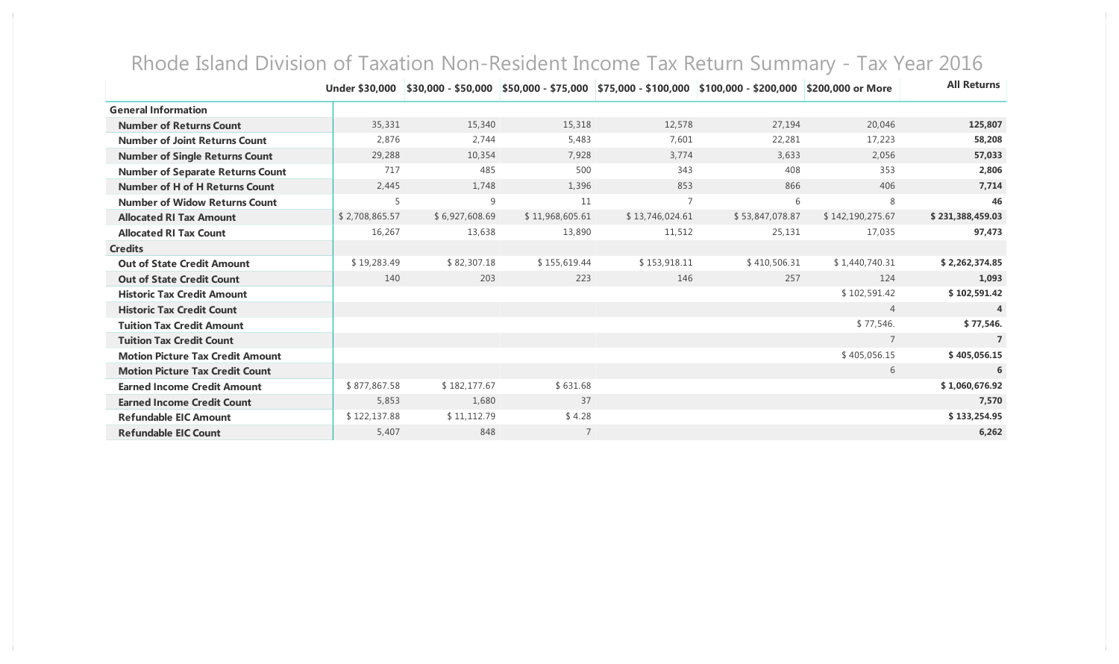|                                         | <b>Under \$30,000</b> |                |                 |                 | \$30,000 - \$50,000   \$50,000 - \$75,000   \$75,000 - \$100,000   \$100,000 - \$200,000 | \$200,000 or More | <b>All Returns</b> |
|-----------------------------------------|-----------------------|----------------|-----------------|-----------------|------------------------------------------------------------------------------------------|-------------------|--------------------|
| <b>General Information</b>              |                       |                |                 |                 |                                                                                          |                   |                    |
| <b>Number of Returns Count</b>          | 35,331                | 15,340         | 15,318          | 12,578          | 27,194                                                                                   | 20,046            | 125,807            |
| <b>Number of Joint Returns Count</b>    | 2,876                 | 2,744          | 5,483           | 7,601           | 22,281                                                                                   | 17,223            | 58,208             |
| <b>Number of Single Returns Count</b>   | 29,288                | 10,354         | 7,928           | 3,774           | 3,633                                                                                    | 2,056             | 57,033             |
| <b>Number of Separate Returns Count</b> | 717                   | 485            | 500             | 343             | 408                                                                                      | 353               | 2,806              |
| <b>Number of H of H Returns Count</b>   | 2,445                 | 1,748          | 1,396           | 853             | 866                                                                                      | 406               | 7,714              |
| <b>Number of Widow Returns Count</b>    | 5                     | 9              | 11              | $\overline{7}$  | 6                                                                                        | 8                 | 46                 |
| <b>Allocated RI Tax Amount</b>          | \$2,708,865.57        | \$6,927,608.69 | \$11,968,605.61 | \$13,746,024.61 | \$53,847,078.87                                                                          | \$142,190,275.67  | \$231,388,459.03   |
| <b>Allocated RI Tax Count</b>           | 16,267                | 13,638         | 13,890          | 11,512          | 25,131                                                                                   | 17,035            | 97,473             |
| <b>Credits</b>                          |                       |                |                 |                 |                                                                                          |                   |                    |
| <b>Out of State Credit Amount</b>       | \$19,283.49           | \$82,307.18    | \$155,619.44    | \$153,918.11    | \$410,506.31                                                                             | \$1,440,740.31    | \$2,262,374.85     |
| <b>Out of State Credit Count</b>        | 140                   | 203            | 223             | 146             | 257                                                                                      | 124               | 1,093              |
| <b>Historic Tax Credit Amount</b>       |                       |                |                 |                 |                                                                                          | \$102,591.42      | \$102,591.42       |
| <b>Historic Tax Credit Count</b>        |                       |                |                 |                 |                                                                                          | $\overline{4}$    | 4                  |
| <b>Tuition Tax Credit Amount</b>        |                       |                |                 |                 |                                                                                          | \$77,546.         | \$77,546.          |
| <b>Tuition Tax Credit Count</b>         |                       |                |                 |                 |                                                                                          | $\overline{7}$    | $\overline{7}$     |
| <b>Motion Picture Tax Credit Amount</b> |                       |                |                 |                 |                                                                                          | \$405,056.15      | \$405,056.15       |
| <b>Motion Picture Tax Credit Count</b>  |                       |                |                 |                 |                                                                                          | 6                 | 6                  |
| <b>Earned Income Credit Amount</b>      | \$877,867.58          | \$182,177.67   | \$631.68        |                 |                                                                                          |                   | \$1,060,676.92     |
| <b>Earned Income Credit Count</b>       | 5,853                 | 1,680          | 37              |                 |                                                                                          |                   | 7.570              |
| <b>Refundable EIC Amount</b>            | \$122,137.88          | \$11,112.79    | \$4.28          |                 |                                                                                          |                   | \$133,254.95       |
| <b>Refundable EIC Count</b>             | 5,407                 | 848            |                 |                 |                                                                                          |                   | 6,262              |

## Rhode Island Division of Taxation Non-Resident Income Tax Return Summary - Tax Year 2016